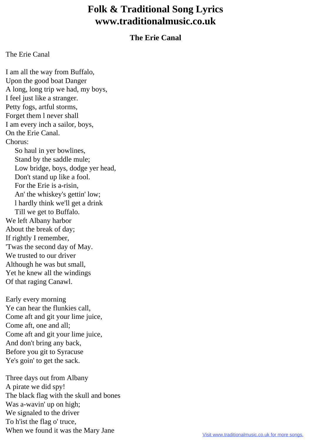## **Folk & Traditional Song Lyrics www.traditionalmusic.co.uk**

## **The Erie Canal**

## The Erie Canal

I am all the way from Buffalo, Upon the good boat Danger A long, long trip we had, my boys, I feel just like a stranger. Petty fogs, artful storms, Forget them l never shall I am every inch a sailor, boys, On the Erie Canal. Chorus: So haul in yer bowlines, Stand by the saddle mule; Low bridge, boys, dodge yer head, Don't stand up like a fool. For the Erie is a-risin, An' the whiskey's gettin' low; l hardly think we'll get a drink Till we get to Buffalo. We left Albany harbor About the break of day; If rightly I remember, 'Twas the second day of May. We trusted to our driver Although he was but small, Yet he knew all the windings Of that raging Canawl.

Early every morning Ye can hear the flunkies call, Come aft and git your lime juice, Come aft, one and all; Come aft and git your lime juice, And don't bring any back, Before you git to Syracuse Ye's goin' to get the sack.

Three days out from Albany A pirate we did spy! The black flag with the skull and bones Was a-wavin' up on high; We signaled to the driver To h'ist the flag o' truce, When we found it was the Mary Jane